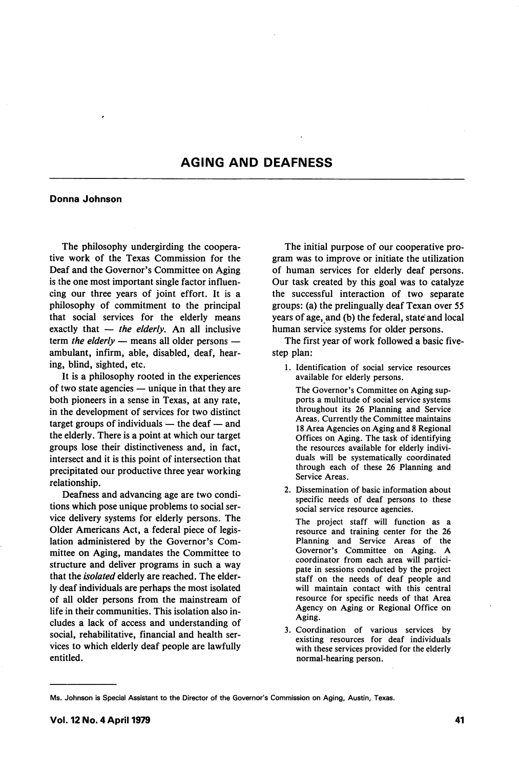## AGING AND DEAFNESS

## Donna Johnson

The philosophy undergirding the coopera tive work of the Texas Commission for the Deaf and the Governor's Committee on Aging is the one most important single factor influen cing our three years of joint effort. It is a philosophy of commitment to the principal that social services for the elderly means exactly that  $-$  the elderly. An all inclusive term the elderly  $-$  means all older persons  $$ ambulant, infirm, able, disabled, deaf, hear ing, blind, sighted, etc.

It is a philosophy rooted in the experiences of two state agencies — unique in that they are both pioneers in a sense in Texas, at any rate, in the development of services for two distinct target groups of individuals — the deaf — and the elderly. There is a point at which our target groups lose their distinctiveness and, in fact, intersect and it is this point of intersection that precipitated our productive three year working relationship.

Deafness and advancing age are two condi tions which pose unique problems to social ser vice delivery systems for elderly persons. The Older Americans Act, a federal piece of legis lation administered by the Governor's Com mittee on Aging, mandates the Committee to structure and deliver programs in such a way that the *isolated* elderly are reached. The elderly deaf individuals are perhaps the most isolated of all older persons from the mainstream of life in their communities. This isolation also in cludes a lack of access and understanding of social, rehabilitative, financial and health ser vices to which elderly deaf people are lawfully entitled.

The initial purpose of our cooperative pro gram was to improve or initiate the utilization of human services for elderly deaf persons. Our task created by this goal was to catalyze the successful interaction of two separate groups: (a) the prelingually deaf Texan over 55 years of age, and (b) the federal, state and local human service systems for older persons.

The first year of work followed a basic fivestep plan:

1. Identification of social service resources available for elderly persons.

The Governor's Committee on Aging sup ports a multitude of social service systems throughout its 26 Planning and Service Areas. Currently the Committee maintains 18 Area Agencies on Aging and 8 Regional Offices on Aging. The task of identifying the resources available for elderly indivi duals will be systematically coordinated through each of these 26 Planning and Service Areas.

2. Dissemination of basic information about specific needs of deaf persons to these social service resource agencies.

The project staff will function as a resource and training center for the 26 Planning and Service Areas of the Governor's Committee on Aging. A coordinator from each area will partici pate in sessions conducted by the project staff on the needs of deaf people and will maintain contact with this central resource for specific needs of that Area Agency on Aging or Regional Office on Aging.

3. Coordination of various services by existing resources for deaf individuals with these services provided for the elderly normal-hearing person.

Ms. Johnson is Special Assistant to the Director of the Governor's Commission on Aging, Austin, Texas.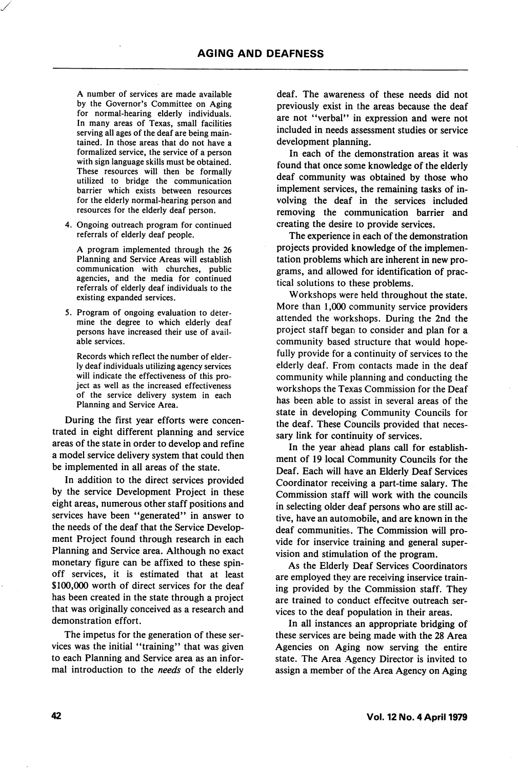A number of services are made available by the Governor's Committee on Aging for normal-hearing elderly individuals. In many areas of Texas, small facilities serving all ages of the deaf are being main tained. In those areas that do not have a formalized service, the service of a person with sign language skills must be obtained. These resources will then be formally utilized to bridge the communication barrier which exists between resources for the elderly normal-hearing person and resources for the elderly deaf person.

4. Ongoing outreach program for continued referrals of elderly deaf people.

A program implemented through the 26 Planning and Service Areas will establish communication with churches, public agencies, and the media for continued referrals of elderly deaf individuals to the existing expanded services.

5. Program of ongoing evaluation to deter mine the degree to which elderly deaf persons have increased their use of avail able services.

Records which reflect the number of elder ly deaf individuals utilizing agency services will indicate the effectiveness of this pro ject as well as the increased effectiveness of the service delivery system in each Planning and Service Area.

During the first year efforts were concen trated in eight different planning and service areas of the state in order to develop and refine a model service delivery system that could then be implemented in all areas of the state.

In addition to the direct services provided by the service Development Project in these eight areas, numerous other staff positions and services have been "generated" in answer to the needs of the deaf that the Service Develop ment Project found through research in each Planning and Service area. Although no exact monetary figure can be affixed to these spinoff services, it is estimated that at least \$100,000 worth of direct services for the deaf has been created in the state through a project that was originally conceived as a research and demonstration effort.

The impetus for the generation of these ser vices was the initial "training" that was given to each Planning and Service area as an infor mal introduction to the needs of the elderly deaf. The awareness of these needs did not previously exist in the areas because the deaf are not "verbal" in expression and were not included in needs assessment studies or service development planning.

In each of the demonstration areas it was found that once some knowledge of the elderly deaf community was obtained by those who implement services, the remaining tasks of in volving the deaf in the services included removing the communication barrier and creating the desire to provide services.

The experience in each of the demonstration projects provided knowledge of the implemen tation problems which are inherent in new pro grams, and allowed for identification of prac tical solutions to these problems.

Workshops were held throughout the state. More than 1,000 community service providers attended the workshops. During the 2nd the project staff began to consider and plan for a community based structure that would hope fully provide for a continuity of services to the elderly deaf. From contacts made in the deaf community while planning and conducting the workshops the Texas Commission for the Deaf has been able to assist in several areas of the state in developing Community Councils for the deaf. These Councils provided that neces sary link for continuity of services.

In the year ahead plans call for establish ment of 19 local Community Councils for the Deaf. Each will have an Elderly Deaf Services Coordinator receiving a part-time salary. The Commission staff will work with the councils in selecting older deaf persons who are still ac tive, have an automobile, and are known in the deaf communities. The Commission will pro vide for inservice training and general super vision and stimulation of the program.

As the Elderly Deaf Services Coordinators are employed they are receiving inservice training provided by the Commission staff. They are trained to conduct effecitve outreach ser vices to the deaf population in their areas.

In all instances an appropriate bridging of these services are being made with the 28 Area Agencies on Aging now serving the entire state. The Area Agency Director is invited to assign a member of the Area Agency on Aging